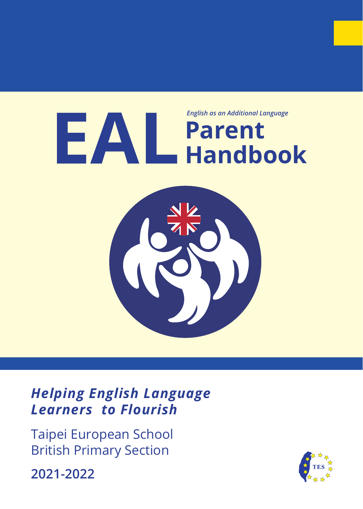# **Parent EAL Handbook** *English as an Additional Language*



*Helping English Language Learners to Flourish*

Taipei European School British Primary Section

**2021-2022**

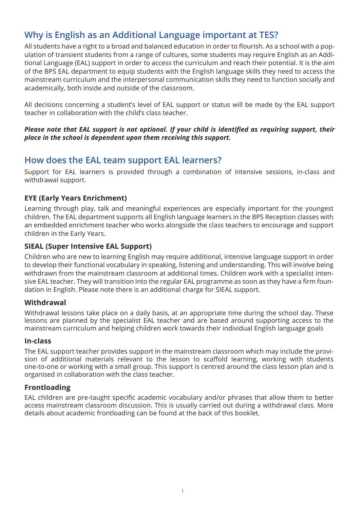# **Why is English as an Additional Language important at TES?**

All students have a right to a broad and balanced education in order to flourish. As a school with a population of transient students from a range of cultures, some students may require English as an Additional Language (EAL) support in order to access the curriculum and reach their potential. It is the aim of the BPS EAL department to equip students with the English language skills they need to access the mainstream curriculum and the interpersonal communication skills they need to function socially and academically, both inside and outside of the classroom.

All decisions concerning a student's level of EAL support or status will be made by the EAL support teacher in collaboration with the child's class teacher.

#### *Please note that EAL support is not optional. If your child is identified as requiring support, their place in the school is dependent upon them receiving this support.*

# **How does the EAL team support EAL learners?**

Support for EAL learners is provided through a combination of intensive sessions, in-class and withdrawal support.

## **EYE (Early Years Enrichment)**

Learning through play, talk and meaningful experiences are especially important for the youngest children. The EAL department supports all English language learners in the BPS Reception classes with an embedded enrichment teacher who works alongside the class teachers to encourage and support children in the Early Years.

### **SIEAL (Super Intensive EAL Support)**

Children who are new to learning English may require additional, intensive language support in order to develop their functional vocabulary in speaking, listening and understanding. This will involve being withdrawn from the mainstream classroom at additional times. Children work with a specialist intensive EAL teacher. They will transition into the regular EAL programme as soon as they have a firm foundation in English. Please note there is an additional charge for SIEAL support.

### **Withdrawal**

Withdrawal lessons take place on a daily basis, at an appropriate time during the school day. These lessons are planned by the specialist EAL teacher and are based around supporting access to the mainstream curriculum and helping children work towards their individual English language goals

#### **In-class**

The EAL support teacher provides support in the mainstream classroom which may include the provision of additional materials relevant to the lesson to scaffold learning, working with students one-to-one or working with a small group. This support is centred around the class lesson plan and is organised in collaboration with the class teacher.

### **Frontloading**

EAL children are pre-taught specific academic vocabulary and/or phrases that allow them to better access mainstream classroom discussion. This is usually carried out during a withdrawal class. More details about academic frontloading can be found at the back of this booklet.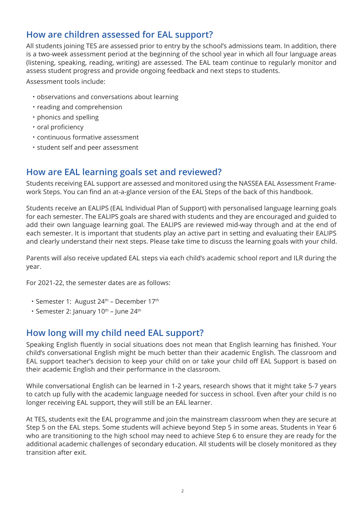# **How are children assessed for EAL support?**

All students joining TES are assessed prior to entry by the school's admissions team. In addition, there is a two-week assessment period at the beginning of the school year in which all four language areas (listening, speaking, reading, writing) are assessed. The EAL team continue to regularly monitor and assess student progress and provide ongoing feedback and next steps to students.

Assessment tools include:

- ・ observations and conversations about learning
- ・ reading and comprehension
- ・ phonics and spelling
- ・ oral proficiency
- ・ continuous formative assessment
- ・ student self and peer assessment

## **How are EAL learning goals set and reviewed?**

Students receiving EAL support are assessed and monitored using the NASSEA EAL Assessment Framework Steps. You can find an at-a-glance version of the EAL Steps of the back of this handbook.

Students receive an EALIPS (EAL Individual Plan of Support) with personalised language learning goals for each semester. The EALIPS goals are shared with students and they are encouraged and guided to add their own language learning goal. The EALIPS are reviewed mid-way through and at the end of each semester. It is important that students play an active part in setting and evaluating their EALIPS and clearly understand their next steps. Please take time to discuss the learning goals with your child.

Parents will also receive updated EAL steps via each child's academic school report and ILR during the year.

For 2021-22, the semester dates are as follows:

- Semester 1: August 24<sup>th</sup> December 17<sup>th</sup>
- Semester 2: January  $10^{th}$  June 24<sup>th</sup>

# **How long will my child need EAL support?**

Speaking English fluently in social situations does not mean that English learning has finished. Your child's conversational English might be much better than their academic English. The classroom and EAL support teacher's decision to keep your child on or take your child off EAL Support is based on their academic English and their performance in the classroom.

While conversational English can be learned in 1-2 years, research shows that it might take 5-7 years to catch up fully with the academic language needed for success in school. Even after your child is no longer receiving EAL support, they will still be an EAL learner.

At TES, students exit the EAL programme and join the mainstream classroom when they are secure at Step 5 on the EAL steps. Some students will achieve beyond Step 5 in some areas. Students in Year 6 who are transitioning to the high school may need to achieve Step 6 to ensure they are ready for the additional academic challenges of secondary education. All students will be closely monitored as they transition after exit.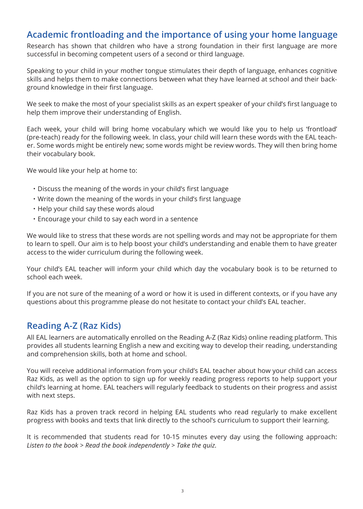## **Academic frontloading and the importance of using your home language**

Research has shown that children who have a strong foundation in their first language are more successful in becoming competent users of a second or third language.

Speaking to your child in your mother tongue stimulates their depth of language, enhances cognitive skills and helps them to make connections between what they have learned at school and their background knowledge in their first language.

We seek to make the most of your specialist skills as an expert speaker of your child's first language to help them improve their understanding of English.

Each week, your child will bring home vocabulary which we would like you to help us 'frontload' (pre-teach) ready for the following week. In class, your child will learn these words with the EAL teacher. Some words might be entirely new; some words might be review words. They will then bring home their vocabulary book.

We would like your help at home to:

- ・Discuss the meaning of the words in your child's first language
- ・Write down the meaning of the words in your child's first language
- ・Help your child say these words aloud
- ・Encourage your child to say each word in a sentence

We would like to stress that these words are not spelling words and may not be appropriate for them to learn to spell. Our aim is to help boost your child's understanding and enable them to have greater access to the wider curriculum during the following week.

Your child's EAL teacher will inform your child which day the vocabulary book is to be returned to school each week.

If you are not sure of the meaning of a word or how it is used in different contexts, or if you have any questions about this programme please do not hesitate to contact your child's EAL teacher.

# **Reading A-Z (Raz Kids)**

All EAL learners are automatically enrolled on the Reading A-Z (Raz Kids) online reading platform. This provides all students learning English a new and exciting way to develop their reading, understanding and comprehension skills, both at home and school.

You will receive additional information from your child's EAL teacher about how your child can access Raz Kids, as well as the option to sign up for weekly reading progress reports to help support your child's learning at home. EAL teachers will regularly feedback to students on their progress and assist with next steps.

Raz Kids has a proven track record in helping EAL students who read regularly to make excellent progress with books and texts that link directly to the school's curriculum to support their learning.

It is recommended that students read for 10-15 minutes every day using the following approach: *Listen to the book > Read the book independently > Take the quiz.*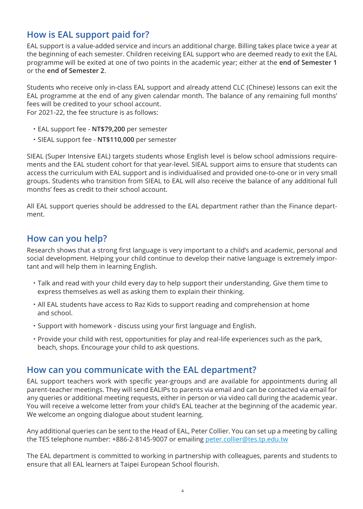# **How is EAL support paid for?**

EAL support is a value-added service and incurs an additional charge. Billing takes place twice a year at the beginning of each semester. Children receiving EAL support who are deemed ready to exit the EAL programme will be exited at one of two points in the academic year; either at the **end of Semester 1** or the **end of Semester 2**.

Students who receive only in-class EAL support and already attend CLC (Chinese) lessons can exit the EAL programme at the end of any given calendar month. The balance of any remaining full months' fees will be credited to your school account. For 2021-22, the fee structure is as follows:

- ・ EAL support fee **NT\$79,200** per semester
- ・ SIEAL support fee **NT\$110,000** per semester

SIEAL (Super Intensive EAL) targets students whose English level is below school admissions requirements and the EAL student cohort for that year-level. SIEAL support aims to ensure that students can access the curriculum with EAL support and is individualised and provided one-to-one or in very small groups. Students who transition from SIEAL to EAL will also receive the balance of any additional full months' fees as credit to their school account.

All EAL support queries should be addressed to the EAL department rather than the Finance department.

# **How can you help?**

Research shows that a strong first language is very important to a child's and academic, personal and social development. Helping your child continue to develop their native language is extremely important and will help them in learning English.

- ・ Talk and read with your child every day to help support their understanding. Give them time to express themselves as well as asking them to explain their thinking.
- ・ All EAL students have access to Raz Kids to support reading and comprehension at home and school.
- ・ Support with homework discuss using your first language and English.
- ・ Provide your child with rest, opportunities for play and real-life experiences such as the park, beach, shops. Encourage your child to ask questions.

## **How can you communicate with the EAL department?**

EAL support teachers work with specific year-groups and are available for appointments during all parent-teacher meetings. They will send EALIPs to parents via email and can be contacted via email for any queries or additional meeting requests, either in person or via video call during the academic year. You will receive a welcome letter from your child's EAL teacher at the beginning of the academic year. We welcome an ongoing dialogue about student learning.

Any additional queries can be sent to the Head of EAL, Peter Collier. You can set up a meeting by calling the TES telephone number: +886-2-8145-9007 or emailing peter.collier@tes.tp.edu.tw

The EAL department is committed to working in partnership with colleagues, parents and students to ensure that all EAL learners at Taipei European School flourish.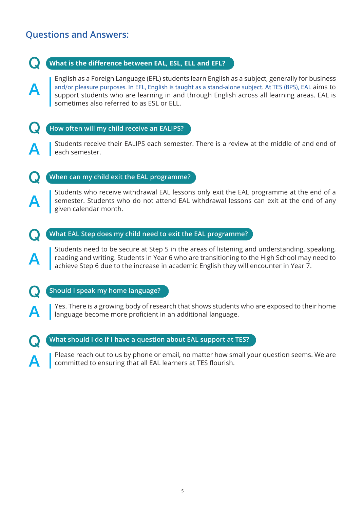# **Questions and Answers:**

 $\blacktriangle$ 



Please reach out to us by phone or email, no matter how small your question seems. We are committed to ensuring that all EAL learners at TES flourish.